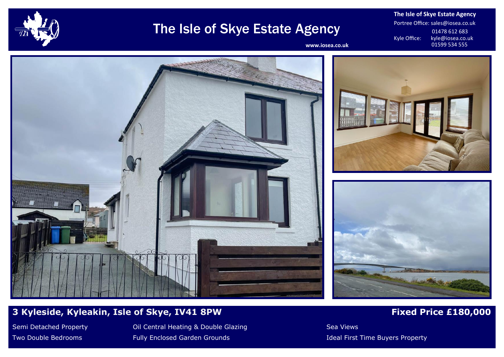

# The Isle of Skye Estate Agency

**The Isle of Skye Estate Agency** Portree Office: sales@iosea.co.uk 01478 612 683<br>Kyle Office: kyle@iosea.co.u kyle@iosea.co.uk<br>01599 534 555

www.iosea.co.uk







## **3 Kyleside, Kyleakin, Isle of Skye, IV41 8PW Fixed Price £180,000**

Semi Detached Property **Oil Central Heating & Double Glazing Seami** Detached Property Two Double Bedrooms **Fully Enclosed Garden Grounds Fully Enclosed Garden Grounds Ideal First Time Buyers Property**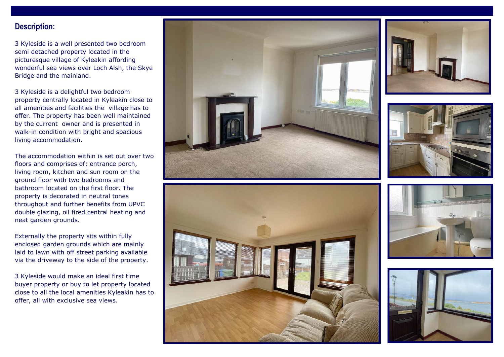### **Description:**

3 Kyleside is a well presented two bedroom semi detached property located in the picturesque village of Kyleakin affording wonderful sea views over Loch Alsh, the Skye Bridge and the mainland.

3 Kyleside is a delightful two bedroom property centrally located in Kyleakin close to all amenities and facilities the village has to offer. The property has been well maintained by the current owner and is presented in walk-in condition with bright and spacious living accommodation.

The accommodation within is set out over two floors and comprises of; entrance porch, living room, kitchen and sun room on the ground floor with two bedrooms and bathroom located on the first floor. The property is decorated in neutral tones throughout and further benefits from UPVC double glazing, oil fired central heating and neat garden grounds.

Externally the property sits within fully enclosed garden grounds which are mainly laid to lawn with off street parking available via the driveway to the side of the property.

3 Kyleside would make an ideal first time buyer property or buy to let property located close to all the local amenities Kyleakin has to offer, all with exclusive sea views.











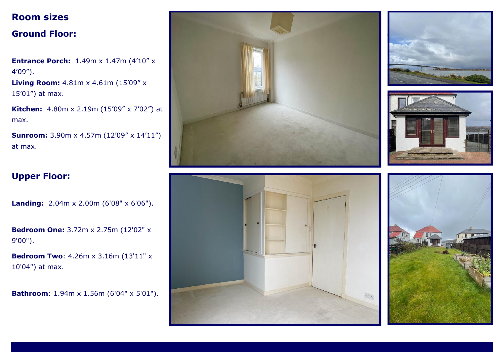## **Room sizes**

## **Ground Floor:**

**Entrance Porch:** 1.49m x 1.47m (4'10" x 4'09").

**Living Room:** 4.81m x 4.61m (15'09" x 15'01") at max.

**Kitchen:** 4.80m x 2.19m (15'09" x 7'02") at max.

**Sunroom:** 3.90m x 4.57m (12'09" x 14'11") at max.

## **Upper Floor:**

**Landing:** 2.04m x 2.00m (6'08" x 6'06").

**Bedroom One:** 3.72m x 2.75m (12'02" x 9'00").

**Bedroom Two**: 4.26m x 3.16m (13'11" x 10'04") at max.

**Bathroom**: 1.94m x 1.56m (6'04" x 5'01").